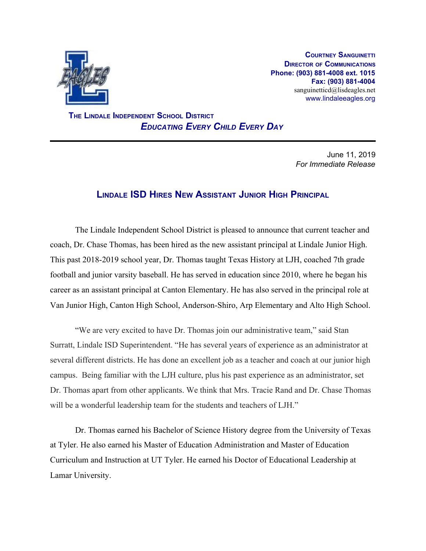

**COURTNEY SANGUINETTI DIRECTOR OF COMMUNICATIONS Phone: (903) 881-4008 ext. 1015 Fax: (903) 881-4004** sanguinetticd@lisdeagles.net www.lindaleeagles.org

 **THE LINDALE INDEPENDENT SCHOOL DISTRICT** *EDUCATING EVERY CHILD EVERY DAY*

> June 11, 2019 *For Immediate Release*

## **LINDALE ISD HIRES NEW ASSISTANT JUNIOR HIGH PRINCIPAL**

The Lindale Independent School District is pleased to announce that current teacher and coach, Dr. Chase Thomas, has been hired as the new assistant principal at Lindale Junior High. This past 2018-2019 school year, Dr. Thomas taught Texas History at LJH, coached 7th grade football and junior varsity baseball. He has served in education since 2010, where he began his career as an assistant principal at Canton Elementary. He has also served in the principal role at Van Junior High, Canton High School, Anderson-Shiro, Arp Elementary and Alto High School.

"We are very excited to have Dr. Thomas join our administrative team," said Stan Surratt, Lindale ISD Superintendent. "He has several years of experience as an administrator at several different districts. He has done an excellent job as a teacher and coach at our junior high campus. Being familiar with the LJH culture, plus his past experience as an administrator, set Dr. Thomas apart from other applicants. We think that Mrs. Tracie Rand and Dr. Chase Thomas will be a wonderful leadership team for the students and teachers of LJH."

Dr. Thomas earned his Bachelor of Science History degree from the University of Texas at Tyler. He also earned his Master of Education Administration and Master of Education Curriculum and Instruction at UT Tyler. He earned his Doctor of Educational Leadership at Lamar University.